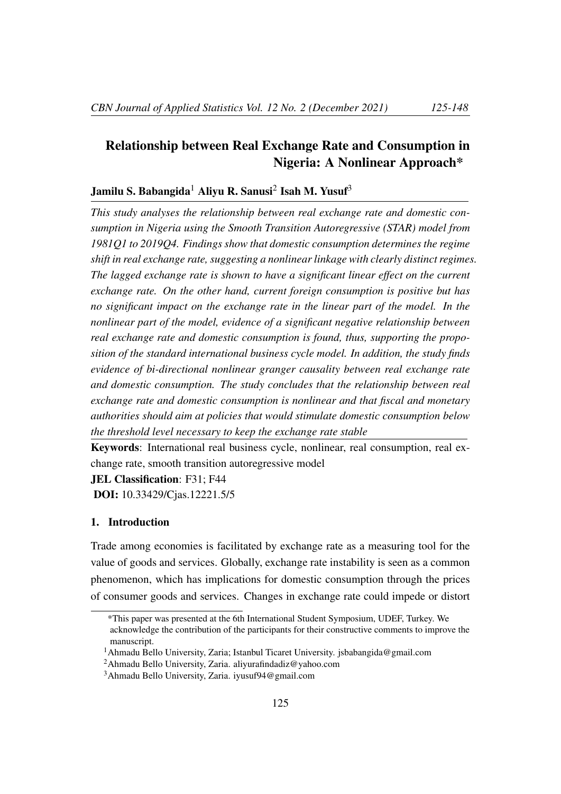# Relationship between Real Exchange Rate and Consumption in Nigeria: A Nonlinear Approach\*

# Jamilu S. Babangida $^1$  Aliyu R. Sanusi $^2$  Isah M. Yusuf $^3$

*This study analyses the relationship between real exchange rate and domestic consumption in Nigeria using the Smooth Transition Autoregressive (STAR) model from 1981Q1 to 2019Q4. Findings show that domestic consumption determines the regime shift in real exchange rate, suggesting a nonlinear linkage with clearly distinct regimes. The lagged exchange rate is shown to have a significant linear effect on the current exchange rate. On the other hand, current foreign consumption is positive but has no significant impact on the exchange rate in the linear part of the model. In the nonlinear part of the model, evidence of a significant negative relationship between real exchange rate and domestic consumption is found, thus, supporting the proposition of the standard international business cycle model. In addition, the study finds evidence of bi-directional nonlinear granger causality between real exchange rate and domestic consumption. The study concludes that the relationship between real exchange rate and domestic consumption is nonlinear and that fiscal and monetary authorities should aim at policies that would stimulate domestic consumption below the threshold level necessary to keep the exchange rate stable*

Keywords: International real business cycle, nonlinear, real consumption, real exchange rate, smooth transition autoregressive model

JEL Classification: F31; F44

DOI: 10.33429/Cjas.12221.5/5

# 1. Introduction

Trade among economies is facilitated by exchange rate as a measuring tool for the value of goods and services. Globally, exchange rate instability is seen as a common phenomenon, which has implications for domestic consumption through the prices of consumer goods and services. Changes in exchange rate could impede or distort

<sup>\*</sup>This paper was presented at the 6th International Student Symposium, UDEF, Turkey. We acknowledge the contribution of the participants for their constructive comments to improve the manuscript.

<sup>1</sup>Ahmadu Bello University, Zaria; Istanbul Ticaret University. jsbabangida@gmail.com

<sup>2</sup>Ahmadu Bello University, Zaria. aliyurafindadiz@yahoo.com

<sup>3</sup>Ahmadu Bello University, Zaria. iyusuf94@gmail.com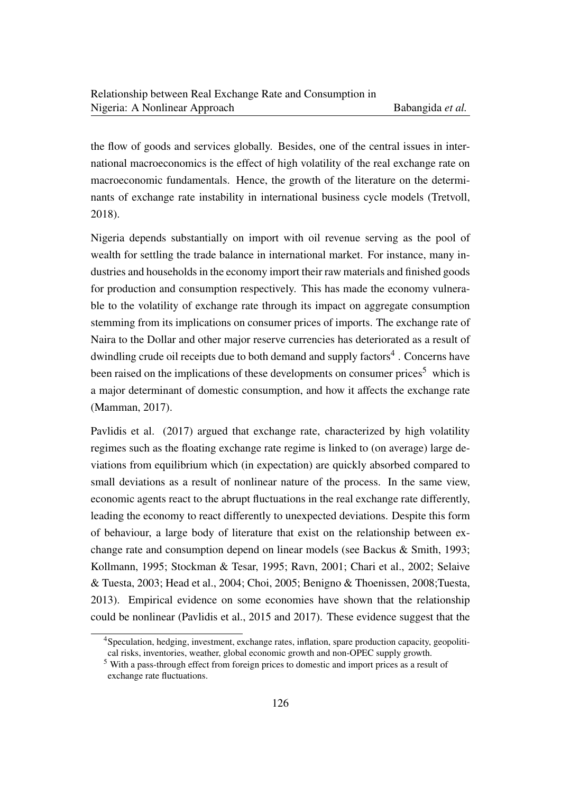the flow of goods and services globally. Besides, one of the central issues in international macroeconomics is the effect of high volatility of the real exchange rate on macroeconomic fundamentals. Hence, the growth of the literature on the determinants of exchange rate instability in international business cycle models (Tretvoll, 2018).

Nigeria depends substantially on import with oil revenue serving as the pool of wealth for settling the trade balance in international market. For instance, many industries and households in the economy import their raw materials and finished goods for production and consumption respectively. This has made the economy vulnerable to the volatility of exchange rate through its impact on aggregate consumption stemming from its implications on consumer prices of imports. The exchange rate of Naira to the Dollar and other major reserve currencies has deteriorated as a result of dwindling crude oil receipts due to both demand and supply factors<sup>4</sup>. Concerns have been raised on the implications of these developments on consumer prices<sup>5</sup> which is a major determinant of domestic consumption, and how it affects the exchange rate (Mamman, 2017).

Pavlidis et al. (2017) argued that exchange rate, characterized by high volatility regimes such as the floating exchange rate regime is linked to (on average) large deviations from equilibrium which (in expectation) are quickly absorbed compared to small deviations as a result of nonlinear nature of the process. In the same view, economic agents react to the abrupt fluctuations in the real exchange rate differently, leading the economy to react differently to unexpected deviations. Despite this form of behaviour, a large body of literature that exist on the relationship between exchange rate and consumption depend on linear models (see Backus & Smith, 1993; Kollmann, 1995; Stockman & Tesar, 1995; Ravn, 2001; Chari et al., 2002; Selaive & Tuesta, 2003; Head et al., 2004; Choi, 2005; Benigno & Thoenissen, 2008;Tuesta, 2013). Empirical evidence on some economies have shown that the relationship could be nonlinear (Pavlidis et al., 2015 and 2017). These evidence suggest that the

<sup>4</sup>Speculation, hedging, investment, exchange rates, inflation, spare production capacity, geopolitical risks, inventories, weather, global economic growth and non-OPEC supply growth.

<sup>5</sup> With a pass-through effect from foreign prices to domestic and import prices as a result of exchange rate fluctuations.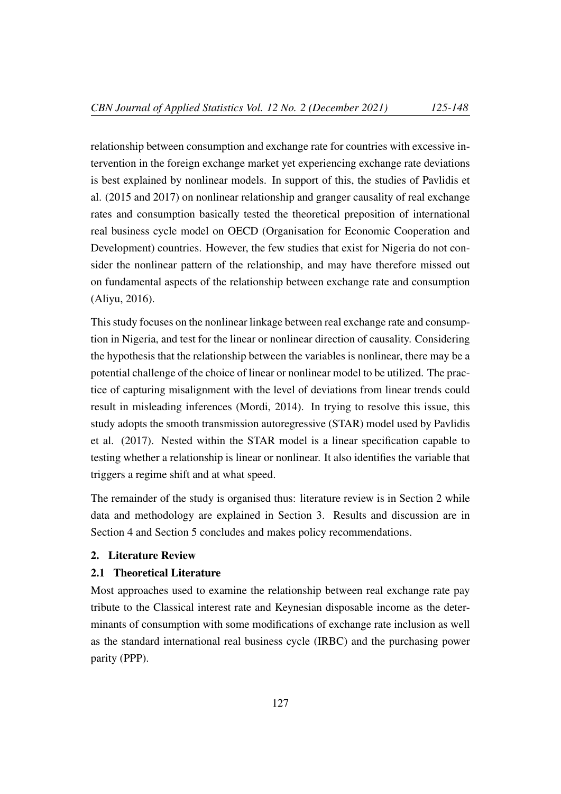relationship between consumption and exchange rate for countries with excessive intervention in the foreign exchange market yet experiencing exchange rate deviations is best explained by nonlinear models. In support of this, the studies of Pavlidis et al. (2015 and 2017) on nonlinear relationship and granger causality of real exchange rates and consumption basically tested the theoretical preposition of international real business cycle model on OECD (Organisation for Economic Cooperation and Development) countries. However, the few studies that exist for Nigeria do not consider the nonlinear pattern of the relationship, and may have therefore missed out on fundamental aspects of the relationship between exchange rate and consumption (Aliyu, 2016).

This study focuses on the nonlinear linkage between real exchange rate and consumption in Nigeria, and test for the linear or nonlinear direction of causality. Considering the hypothesis that the relationship between the variables is nonlinear, there may be a potential challenge of the choice of linear or nonlinear model to be utilized. The practice of capturing misalignment with the level of deviations from linear trends could result in misleading inferences (Mordi, 2014). In trying to resolve this issue, this study adopts the smooth transmission autoregressive (STAR) model used by Pavlidis et al. (2017). Nested within the STAR model is a linear specification capable to testing whether a relationship is linear or nonlinear. It also identifies the variable that triggers a regime shift and at what speed.

The remainder of the study is organised thus: literature review is in Section 2 while data and methodology are explained in Section 3. Results and discussion are in Section 4 and Section 5 concludes and makes policy recommendations.

#### 2. Literature Review

# 2.1 Theoretical Literature

Most approaches used to examine the relationship between real exchange rate pay tribute to the Classical interest rate and Keynesian disposable income as the determinants of consumption with some modifications of exchange rate inclusion as well as the standard international real business cycle (IRBC) and the purchasing power parity (PPP).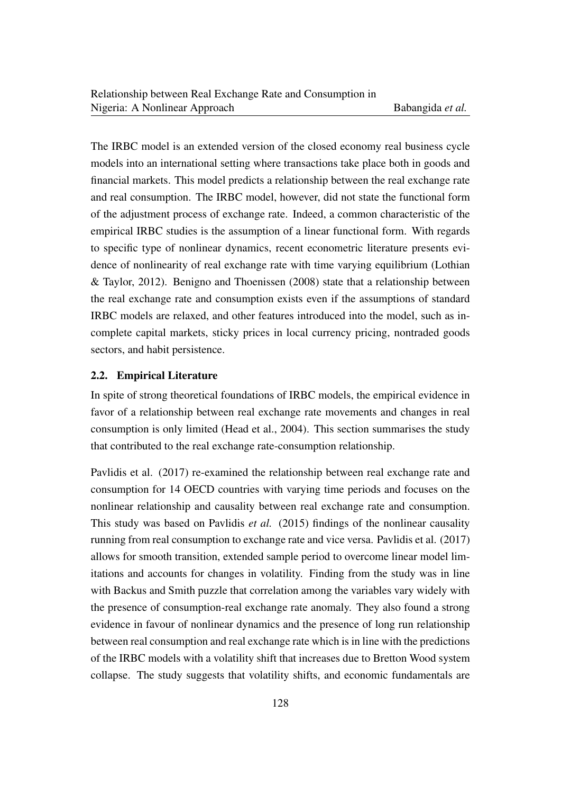The IRBC model is an extended version of the closed economy real business cycle models into an international setting where transactions take place both in goods and financial markets. This model predicts a relationship between the real exchange rate and real consumption. The IRBC model, however, did not state the functional form of the adjustment process of exchange rate. Indeed, a common characteristic of the empirical IRBC studies is the assumption of a linear functional form. With regards to specific type of nonlinear dynamics, recent econometric literature presents evidence of nonlinearity of real exchange rate with time varying equilibrium (Lothian & Taylor, 2012). Benigno and Thoenissen (2008) state that a relationship between the real exchange rate and consumption exists even if the assumptions of standard IRBC models are relaxed, and other features introduced into the model, such as incomplete capital markets, sticky prices in local currency pricing, nontraded goods sectors, and habit persistence.

#### 2.2. Empirical Literature

In spite of strong theoretical foundations of IRBC models, the empirical evidence in favor of a relationship between real exchange rate movements and changes in real consumption is only limited (Head et al., 2004). This section summarises the study that contributed to the real exchange rate-consumption relationship.

Pavlidis et al. (2017) re-examined the relationship between real exchange rate and consumption for 14 OECD countries with varying time periods and focuses on the nonlinear relationship and causality between real exchange rate and consumption. This study was based on Pavlidis *et al.* (2015) findings of the nonlinear causality running from real consumption to exchange rate and vice versa. Pavlidis et al. (2017) allows for smooth transition, extended sample period to overcome linear model limitations and accounts for changes in volatility. Finding from the study was in line with Backus and Smith puzzle that correlation among the variables vary widely with the presence of consumption-real exchange rate anomaly. They also found a strong evidence in favour of nonlinear dynamics and the presence of long run relationship between real consumption and real exchange rate which is in line with the predictions of the IRBC models with a volatility shift that increases due to Bretton Wood system collapse. The study suggests that volatility shifts, and economic fundamentals are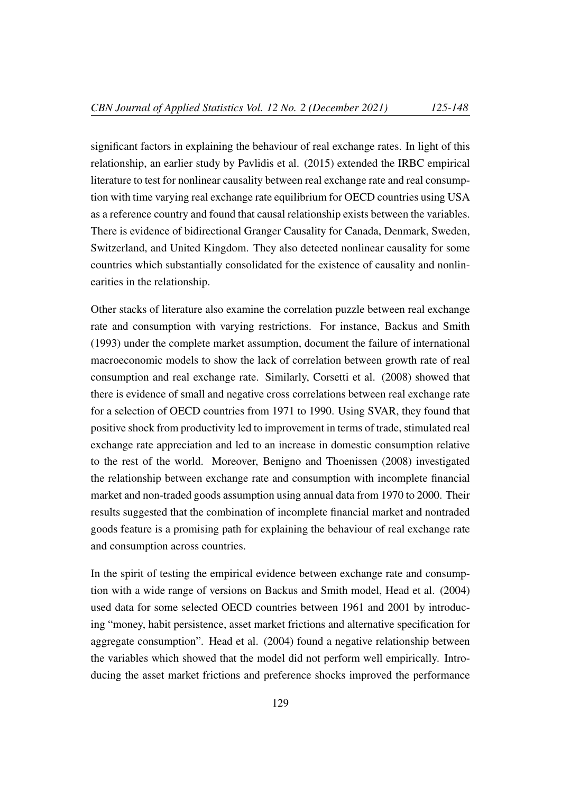significant factors in explaining the behaviour of real exchange rates. In light of this relationship, an earlier study by Pavlidis et al. (2015) extended the IRBC empirical literature to test for nonlinear causality between real exchange rate and real consumption with time varying real exchange rate equilibrium for OECD countries using USA as a reference country and found that causal relationship exists between the variables. There is evidence of bidirectional Granger Causality for Canada, Denmark, Sweden, Switzerland, and United Kingdom. They also detected nonlinear causality for some countries which substantially consolidated for the existence of causality and nonlinearities in the relationship.

Other stacks of literature also examine the correlation puzzle between real exchange rate and consumption with varying restrictions. For instance, Backus and Smith (1993) under the complete market assumption, document the failure of international macroeconomic models to show the lack of correlation between growth rate of real consumption and real exchange rate. Similarly, Corsetti et al. (2008) showed that there is evidence of small and negative cross correlations between real exchange rate for a selection of OECD countries from 1971 to 1990. Using SVAR, they found that positive shock from productivity led to improvement in terms of trade, stimulated real exchange rate appreciation and led to an increase in domestic consumption relative to the rest of the world. Moreover, Benigno and Thoenissen (2008) investigated the relationship between exchange rate and consumption with incomplete financial market and non-traded goods assumption using annual data from 1970 to 2000. Their results suggested that the combination of incomplete financial market and nontraded goods feature is a promising path for explaining the behaviour of real exchange rate and consumption across countries.

In the spirit of testing the empirical evidence between exchange rate and consumption with a wide range of versions on Backus and Smith model, Head et al. (2004) used data for some selected OECD countries between 1961 and 2001 by introducing "money, habit persistence, asset market frictions and alternative specification for aggregate consumption". Head et al. (2004) found a negative relationship between the variables which showed that the model did not perform well empirically. Introducing the asset market frictions and preference shocks improved the performance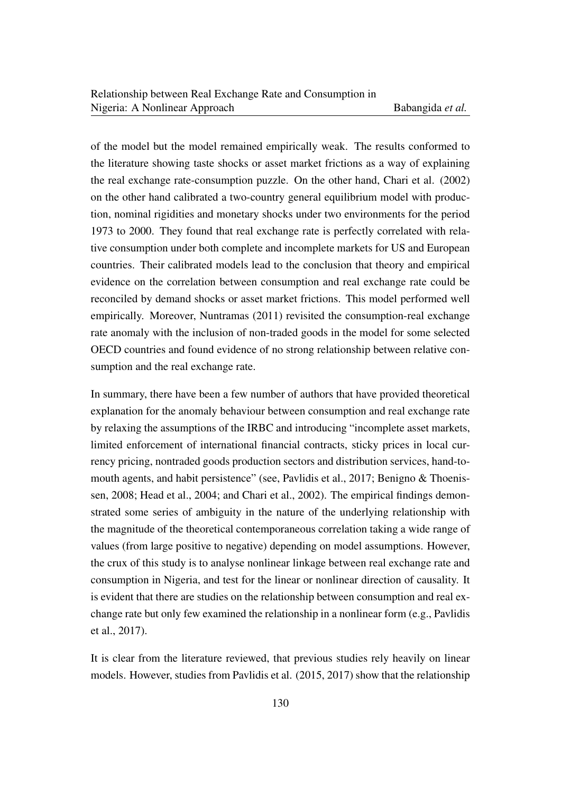of the model but the model remained empirically weak. The results conformed to the literature showing taste shocks or asset market frictions as a way of explaining the real exchange rate-consumption puzzle. On the other hand, Chari et al. (2002) on the other hand calibrated a two-country general equilibrium model with production, nominal rigidities and monetary shocks under two environments for the period 1973 to 2000. They found that real exchange rate is perfectly correlated with relative consumption under both complete and incomplete markets for US and European countries. Their calibrated models lead to the conclusion that theory and empirical evidence on the correlation between consumption and real exchange rate could be reconciled by demand shocks or asset market frictions. This model performed well empirically. Moreover, Nuntramas (2011) revisited the consumption-real exchange rate anomaly with the inclusion of non-traded goods in the model for some selected OECD countries and found evidence of no strong relationship between relative consumption and the real exchange rate.

In summary, there have been a few number of authors that have provided theoretical explanation for the anomaly behaviour between consumption and real exchange rate by relaxing the assumptions of the IRBC and introducing "incomplete asset markets, limited enforcement of international financial contracts, sticky prices in local currency pricing, nontraded goods production sectors and distribution services, hand-tomouth agents, and habit persistence" (see, Pavlidis et al., 2017; Benigno & Thoenissen, 2008; Head et al., 2004; and Chari et al., 2002). The empirical findings demonstrated some series of ambiguity in the nature of the underlying relationship with the magnitude of the theoretical contemporaneous correlation taking a wide range of values (from large positive to negative) depending on model assumptions. However, the crux of this study is to analyse nonlinear linkage between real exchange rate and consumption in Nigeria, and test for the linear or nonlinear direction of causality. It is evident that there are studies on the relationship between consumption and real exchange rate but only few examined the relationship in a nonlinear form (e.g., Pavlidis et al., 2017).

It is clear from the literature reviewed, that previous studies rely heavily on linear models. However, studies from Pavlidis et al. (2015, 2017) show that the relationship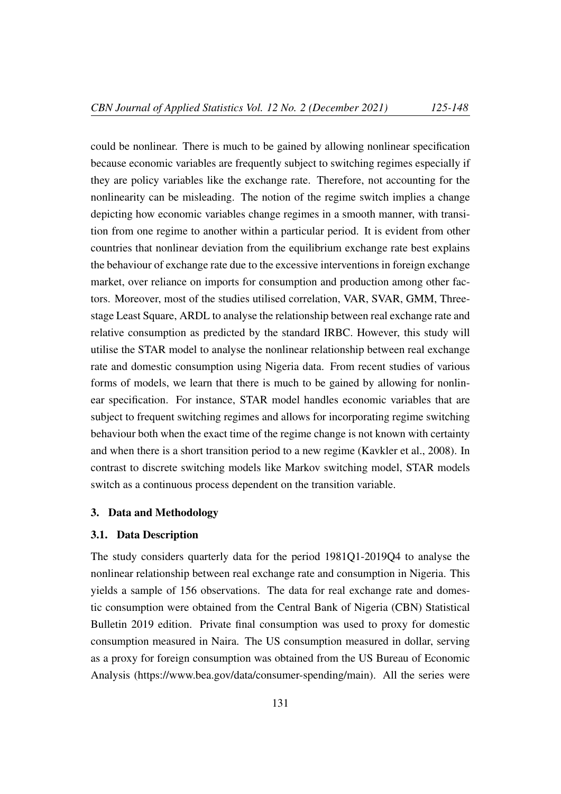could be nonlinear. There is much to be gained by allowing nonlinear specification because economic variables are frequently subject to switching regimes especially if they are policy variables like the exchange rate. Therefore, not accounting for the nonlinearity can be misleading. The notion of the regime switch implies a change depicting how economic variables change regimes in a smooth manner, with transition from one regime to another within a particular period. It is evident from other countries that nonlinear deviation from the equilibrium exchange rate best explains the behaviour of exchange rate due to the excessive interventions in foreign exchange market, over reliance on imports for consumption and production among other factors. Moreover, most of the studies utilised correlation, VAR, SVAR, GMM, Threestage Least Square, ARDL to analyse the relationship between real exchange rate and relative consumption as predicted by the standard IRBC. However, this study will utilise the STAR model to analyse the nonlinear relationship between real exchange rate and domestic consumption using Nigeria data. From recent studies of various forms of models, we learn that there is much to be gained by allowing for nonlinear specification. For instance, STAR model handles economic variables that are subject to frequent switching regimes and allows for incorporating regime switching behaviour both when the exact time of the regime change is not known with certainty and when there is a short transition period to a new regime (Kavkler et al., 2008). In contrast to discrete switching models like Markov switching model, STAR models switch as a continuous process dependent on the transition variable.

#### 3. Data and Methodology

# 3.1. Data Description

The study considers quarterly data for the period 1981Q1-2019Q4 to analyse the nonlinear relationship between real exchange rate and consumption in Nigeria. This yields a sample of 156 observations. The data for real exchange rate and domestic consumption were obtained from the Central Bank of Nigeria (CBN) Statistical Bulletin 2019 edition. Private final consumption was used to proxy for domestic consumption measured in Naira. The US consumption measured in dollar, serving as a proxy for foreign consumption was obtained from the US Bureau of Economic Analysis (https://www.bea.gov/data/consumer-spending/main). All the series were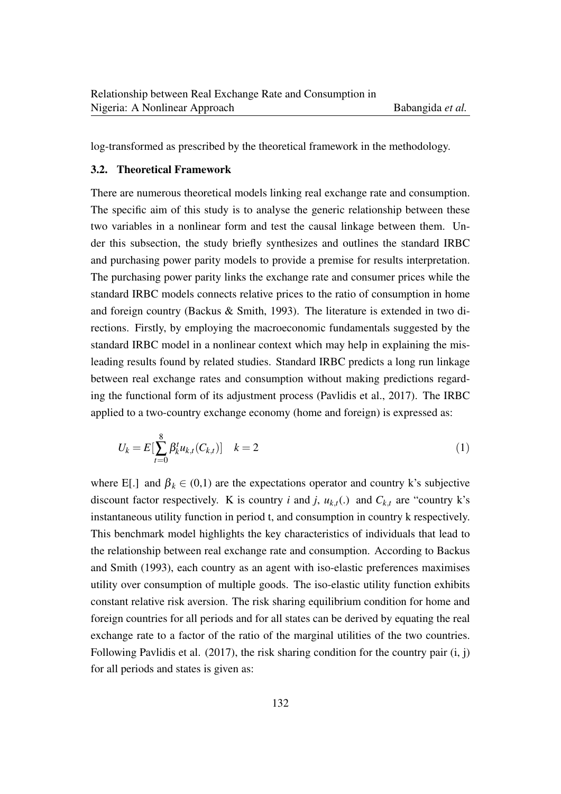log-transformed as prescribed by the theoretical framework in the methodology.

# 3.2. Theoretical Framework

There are numerous theoretical models linking real exchange rate and consumption. The specific aim of this study is to analyse the generic relationship between these two variables in a nonlinear form and test the causal linkage between them. Under this subsection, the study briefly synthesizes and outlines the standard IRBC and purchasing power parity models to provide a premise for results interpretation. The purchasing power parity links the exchange rate and consumer prices while the standard IRBC models connects relative prices to the ratio of consumption in home and foreign country (Backus & Smith, 1993). The literature is extended in two directions. Firstly, by employing the macroeconomic fundamentals suggested by the standard IRBC model in a nonlinear context which may help in explaining the misleading results found by related studies. Standard IRBC predicts a long run linkage between real exchange rates and consumption without making predictions regarding the functional form of its adjustment process (Pavlidis et al., 2017). The IRBC applied to a two-country exchange economy (home and foreign) is expressed as:

$$
U_k = E[\sum_{t=0}^{8} \beta_k^t u_{k,t}(C_{k,t})] \quad k=2
$$
\n(1)

where E[.] and  $\beta_k \in (0,1)$  are the expectations operator and country k's subjective discount factor respectively. K is country *i* and *j*,  $u_{k,t}$  (.) and  $C_{k,t}$  are "country k's instantaneous utility function in period t, and consumption in country k respectively. This benchmark model highlights the key characteristics of individuals that lead to the relationship between real exchange rate and consumption. According to Backus and Smith (1993), each country as an agent with iso-elastic preferences maximises utility over consumption of multiple goods. The iso-elastic utility function exhibits constant relative risk aversion. The risk sharing equilibrium condition for home and foreign countries for all periods and for all states can be derived by equating the real exchange rate to a factor of the ratio of the marginal utilities of the two countries. Following Pavlidis et al. (2017), the risk sharing condition for the country pair (i, j) for all periods and states is given as: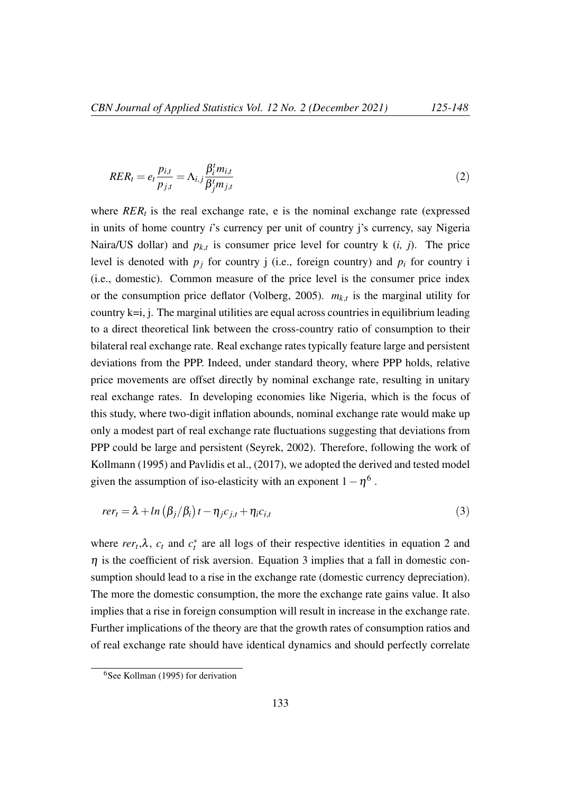$$
RER_t = e_t \frac{p_{i,t}}{p_{j,t}} = \Lambda_{i,j} \frac{\beta_i^t m_{i,t}}{\beta_j^t m_{j,t}}
$$
\n
$$
(2)
$$

where  $RER_t$  is the real exchange rate, e is the nominal exchange rate (expressed in units of home country *i*'s currency per unit of country j's currency, say Nigeria Naira/US dollar) and  $p_{k,t}$  is consumer price level for country k  $(i, j)$ . The price level is denoted with  $p_j$  for country j (i.e., foreign country) and  $p_i$  for country i (i.e., domestic). Common measure of the price level is the consumer price index or the consumption price deflator (Volberg, 2005).  $m_{k,t}$  is the marginal utility for country k=i, j. The marginal utilities are equal across countries in equilibrium leading to a direct theoretical link between the cross-country ratio of consumption to their bilateral real exchange rate. Real exchange rates typically feature large and persistent deviations from the PPP. Indeed, under standard theory, where PPP holds, relative price movements are offset directly by nominal exchange rate, resulting in unitary real exchange rates. In developing economies like Nigeria, which is the focus of this study, where two-digit inflation abounds, nominal exchange rate would make up only a modest part of real exchange rate fluctuations suggesting that deviations from PPP could be large and persistent (Seyrek, 2002). Therefore, following the work of Kollmann (1995) and Pavlidis et al., (2017), we adopted the derived and tested model given the assumption of iso-elasticity with an exponent  $1 - \eta^6$ .

$$
rer_t = \lambda + ln(\beta_j/\beta_i)t - \eta_j c_{j,t} + \eta_i c_{i,t}
$$
\n(3)

where  $rer_t$ , $\lambda$ ,  $c_t$  and  $c_t^*$  are all logs of their respective identities in equation 2 and  $\eta$  is the coefficient of risk aversion. Equation 3 implies that a fall in domestic consumption should lead to a rise in the exchange rate (domestic currency depreciation). The more the domestic consumption, the more the exchange rate gains value. It also implies that a rise in foreign consumption will result in increase in the exchange rate. Further implications of the theory are that the growth rates of consumption ratios and of real exchange rate should have identical dynamics and should perfectly correlate

<sup>6</sup>See Kollman (1995) for derivation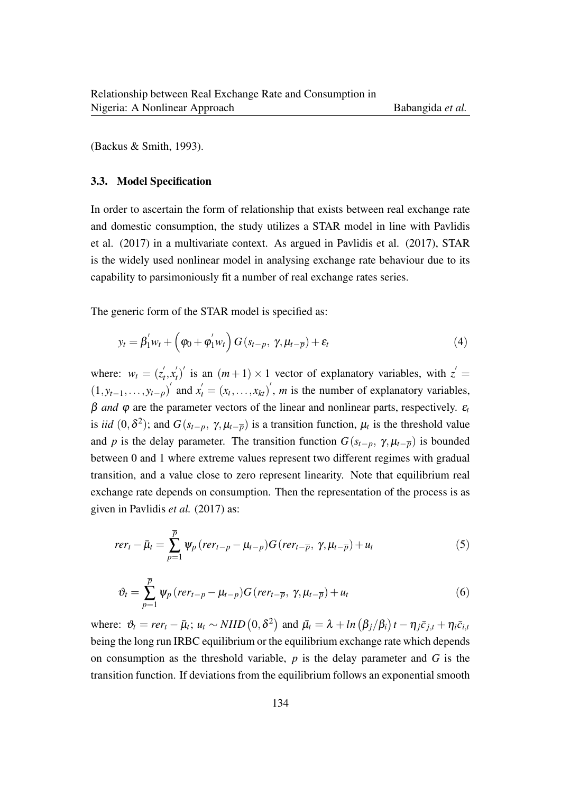(Backus & Smith, 1993).

#### 3.3. Model Specification

In order to ascertain the form of relationship that exists between real exchange rate and domestic consumption, the study utilizes a STAR model in line with Pavlidis et al. (2017) in a multivariate context. As argued in Pavlidis et al. (2017), STAR is the widely used nonlinear model in analysing exchange rate behaviour due to its capability to parsimoniously fit a number of real exchange rates series.

The generic form of the STAR model is specified as:

$$
y_t = \beta_1' w_t + \left(\varphi_0 + \varphi_1' w_t\right) G\left(s_{t-p}, \gamma, \mu_{t-\overline{p}}\right) + \varepsilon_t
$$
\n<sup>(4)</sup>

where:  $w_t = (z_t^{\prime})$  $t'_t, x'_t$  $t'_{t}$ <sup> $\prime$ </sup> is an  $(m+1) \times 1$  vector of explanatory variables, with  $z' =$  $(1, y_{t-1}, \ldots, y_{t-p})'$  and  $x'_{t} = (x_{t}, \ldots, x_{kt})'$ , *m* is the number of explanatory variables, β *and* ϕ are the parameter vectors of the linear and nonlinear parts, respectively. ε*<sup>t</sup>* is *iid*  $(0, \delta^2)$ ; and  $G(s_{t-p}, \gamma, \mu_{t-\overline{p}})$  is a transition function,  $\mu_t$  is the threshold value and *p* is the delay parameter. The transition function  $G(s_{t-p}, \gamma, \mu_{t-\overline{p}})$  is bounded between 0 and 1 where extreme values represent two different regimes with gradual transition, and a value close to zero represent linearity. Note that equilibrium real exchange rate depends on consumption. Then the representation of the process is as given in Pavlidis *et al.* (2017) as:

$$
rer_t - \bar{\mu}_t = \sum_{p=1}^{\overline{p}} \psi_p \left(rer_{t-p} - \mu_{t-p} \right) G\left(rer_{t-\overline{p}}, \gamma, \mu_{t-\overline{p}} \right) + u_t \tag{5}
$$

$$
\vartheta_t = \sum_{p=1}^{\overline{p}} \psi_p \left( \text{rer}_{t-p} - \mu_{t-p} \right) G \left( \text{rer}_{t-\overline{p}}, \gamma, \mu_{t-\overline{p}} \right) + u_t \tag{6}
$$

where:  $\vartheta_t = r e r_t - \bar{\mu}_t$ ;  $u_t \sim NIID(0, \delta^2)$  and  $\bar{\mu}_t = \lambda + ln(\beta_j/\beta_i)t - \eta_j \bar{c}_{j,t} + \eta_i \bar{c}_{i,t}$ being the long run IRBC equilibrium or the equilibrium exchange rate which depends on consumption as the threshold variable, *p* is the delay parameter and *G* is the transition function. If deviations from the equilibrium follows an exponential smooth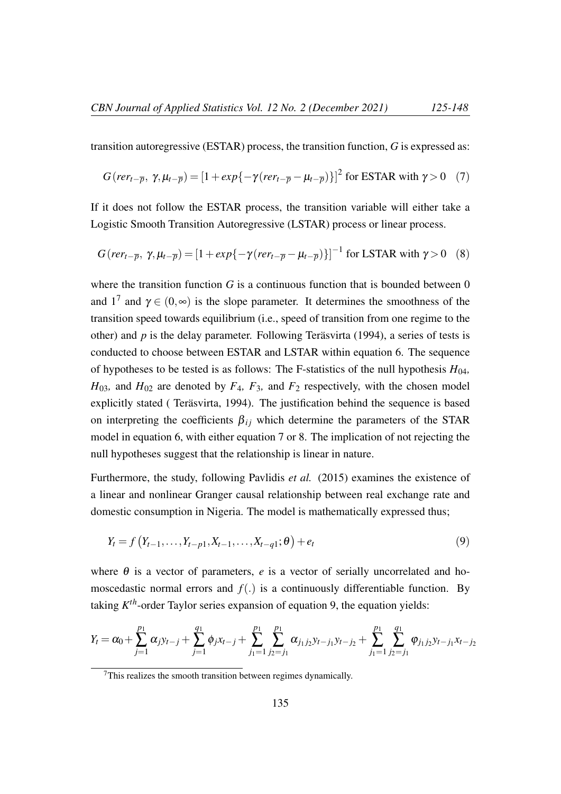transition autoregressive (ESTAR) process, the transition function, *G* is expressed as:

$$
G(\text{rer}_{t-\overline{p}}, \gamma, \mu_{t-\overline{p}}) = [1 + \exp\{-\gamma(\text{rer}_{t-\overline{p}} - \mu_{t-\overline{p}})\}]^{2} \text{ for ESTAR with } \gamma > 0 \quad (7)
$$

If it does not follow the ESTAR process, the transition variable will either take a Logistic Smooth Transition Autoregressive (LSTAR) process or linear process.

$$
G(\text{rer}_{t-\overline{p}}, \gamma, \mu_{t-\overline{p}}) = [1 + \exp\{-\gamma(\text{rer}_{t-\overline{p}} - \mu_{t-\overline{p}})\}]^{-1} \text{ for LSTM with } \gamma > 0 \quad (8)
$$

where the transition function  $G$  is a continuous function that is bounded between  $0$ and  $1^7$  and  $\gamma \in (0, \infty)$  is the slope parameter. It determines the smoothness of the transition speed towards equilibrium (i.e., speed of transition from one regime to the other) and  $p$  is the delay parameter. Following Teräsvirta (1994), a series of tests is conducted to choose between ESTAR and LSTAR within equation 6. The sequence of hypotheses to be tested is as follows: The F-statistics of the null hypothesis  $H_{04}$ ,  $H_{03}$ , and  $H_{02}$  are denoted by  $F_4$ ,  $F_3$ , and  $F_2$  respectively, with the chosen model explicitly stated ( Teräsvirta, 1994). The justification behind the sequence is based on interpreting the coefficients  $\beta_{ij}$  which determine the parameters of the STAR model in equation 6, with either equation 7 or 8. The implication of not rejecting the null hypotheses suggest that the relationship is linear in nature.

Furthermore, the study, following Pavlidis *et al.* (2015) examines the existence of a linear and nonlinear Granger causal relationship between real exchange rate and domestic consumption in Nigeria. The model is mathematically expressed thus;

$$
Y_t = f(Y_{t-1}, \dots, Y_{t-p1}, X_{t-1}, \dots, X_{t-q1}; \theta) + e_t
$$
\n(9)

where  $\theta$  is a vector of parameters,  $e$  is a vector of serially uncorrelated and homoscedastic normal errors and  $f(.)$  is a continuously differentiable function. By taking *K th*-order Taylor series expansion of equation 9, the equation yields:

$$
Y_t = \alpha_0 + \sum_{j=1}^{p_1} \alpha_j y_{t-j} + \sum_{j=1}^{q_1} \phi_j x_{t-j} + \sum_{j_1=1}^{p_1} \sum_{j_2=j_1}^{p_1} \alpha_{j_1 j_2} y_{t-j_1} y_{t-j_2} + \sum_{j_1=1}^{p_1} \sum_{j_2=j_1}^{q_1} \varphi_{j_1 j_2} y_{t-j_1} x_{t-j_2}
$$

<sup>7</sup>This realizes the smooth transition between regimes dynamically.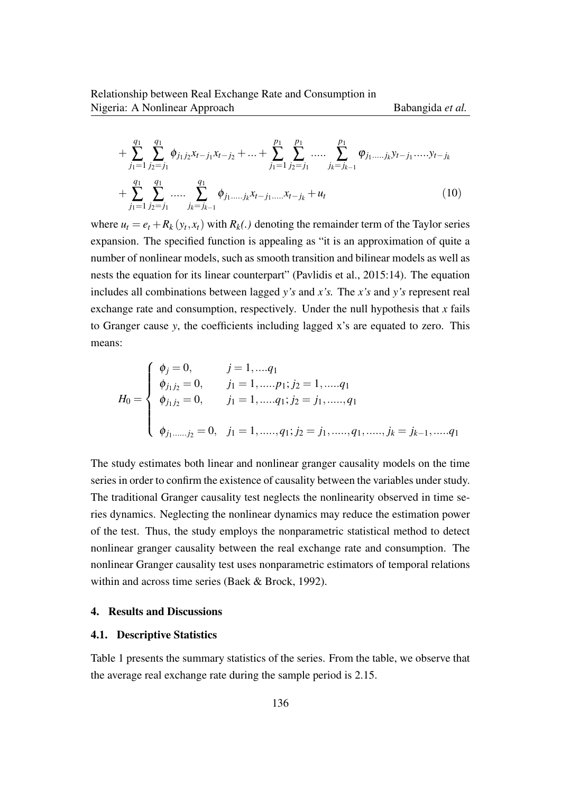+ 
$$
\sum_{j_1=1}^{q_1} \sum_{j_2=j_1}^{q_1} \phi_{j_1j_2} x_{t-j_1} x_{t-j_2} + ... + \sum_{j_1=1}^{p_1} \sum_{j_2=j_1}^{p_1} ..... \sum_{j_k=j_{k-1}}^{p_1} \phi_{j_1,...,j_k} y_{t-j_1} ..... y_{t-j_k}
$$
  
+  $\sum_{j_1=1}^{q_1} \sum_{j_2=j_1}^{q_1} ..... \sum_{j_k=j_{k-1}}^{q_1} \phi_{j_1,...,j_k} x_{t-j_1} ..... x_{t-j_k} + u_t$  (10)

where  $u_t = e_t + R_k(y_t, x_t)$  with  $R_k(.)$  denoting the remainder term of the Taylor series expansion. The specified function is appealing as "it is an approximation of quite a number of nonlinear models, such as smooth transition and bilinear models as well as nests the equation for its linear counterpart" (Pavlidis et al., 2015:14). The equation includes all combinations between lagged *y's* and *x's.* The *x's* and *y's* represent real exchange rate and consumption, respectively*.* Under the null hypothesis that *x* fails to Granger cause *y*, the coefficients including lagged x's are equated to zero. This means:

$$
H_0 = \begin{cases} \phi_j = 0, & j = 1, \dots, q_1 \\ \phi_{j_1 j_2} = 0, & j_1 = 1, \dots, p_1; j_2 = 1, \dots, q_1 \\ \phi_{j_1 j_2} = 0, & j_1 = 1, \dots, q_1; j_2 = j_1, \dots, q_1 \\ \phi_{j_1, \dots, j_2} = 0, & j_1 = 1, \dots, q_1; j_2 = j_1, \dots, q_1, \dots, j_k = j_{k-1}, \dots, q_1 \end{cases}
$$

The study estimates both linear and nonlinear granger causality models on the time series in order to confirm the existence of causality between the variables under study. The traditional Granger causality test neglects the nonlinearity observed in time series dynamics. Neglecting the nonlinear dynamics may reduce the estimation power of the test. Thus, the study employs the nonparametric statistical method to detect nonlinear granger causality between the real exchange rate and consumption. The nonlinear Granger causality test uses nonparametric estimators of temporal relations within and across time series (Baek & Brock, 1992).

#### 4. Results and Discussions

#### 4.1. Descriptive Statistics

Table 1 presents the summary statistics of the series. From the table, we observe that the average real exchange rate during the sample period is 2.15.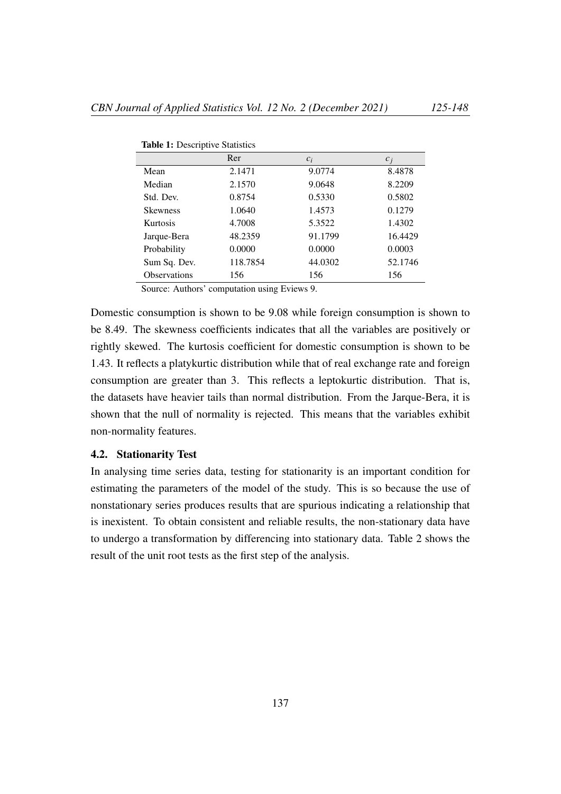|                     | Rer      | $c_i$   | $c_i$   |  |  |
|---------------------|----------|---------|---------|--|--|
| Mean                | 2.1471   | 9.0774  | 8.4878  |  |  |
| Median              | 2.1570   | 9.0648  | 8.2209  |  |  |
| Std. Dev.           | 0.8754   | 0.5330  | 0.5802  |  |  |
| <b>Skewness</b>     | 1.0640   | 1.4573  | 0.1279  |  |  |
| <b>Kurtosis</b>     | 4.7008   | 5.3522  | 1.4302  |  |  |
| Jarque-Bera         | 48.2359  | 91.1799 | 16.4429 |  |  |
| Probability         | 0.0000   | 0.0000  | 0.0003  |  |  |
| Sum Sq. Dev.        | 118.7854 | 44.0302 | 52.1746 |  |  |
| <b>Observations</b> | 156      | 156     | 156     |  |  |

Table 1: Descriptive Statistics

Source: Authors' computation using Eviews 9.

Domestic consumption is shown to be 9.08 while foreign consumption is shown to be 8.49. The skewness coefficients indicates that all the variables are positively or rightly skewed. The kurtosis coefficient for domestic consumption is shown to be 1.43. It reflects a platykurtic distribution while that of real exchange rate and foreign consumption are greater than 3. This reflects a leptokurtic distribution. That is, the datasets have heavier tails than normal distribution. From the Jarque-Bera, it is shown that the null of normality is rejected. This means that the variables exhibit non-normality features.

#### 4.2. Stationarity Test

In analysing time series data, testing for stationarity is an important condition for estimating the parameters of the model of the study. This is so because the use of nonstationary series produces results that are spurious indicating a relationship that is inexistent. To obtain consistent and reliable results, the non-stationary data have to undergo a transformation by differencing into stationary data. Table 2 shows the result of the unit root tests as the first step of the analysis.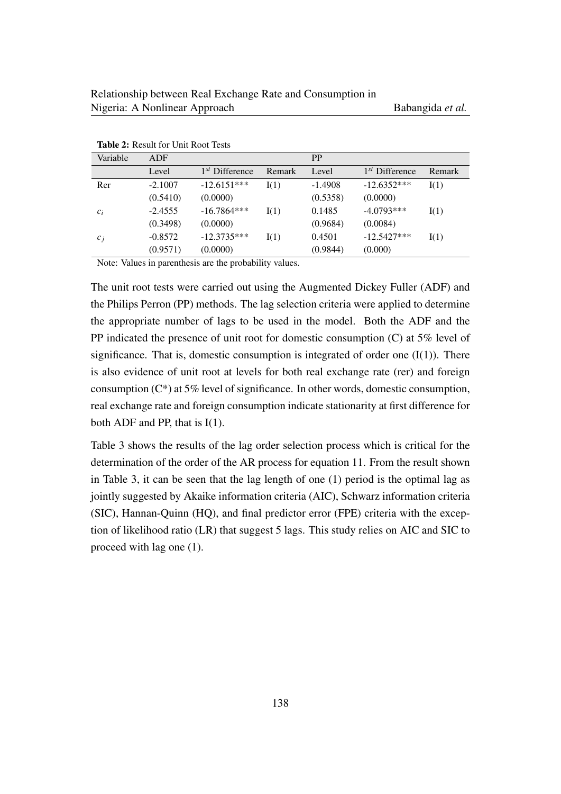| <b>THURS The INCOURT LOT</b> CHILLINOOL TOOLS |           |                  |        |           |                  |        |
|-----------------------------------------------|-----------|------------------|--------|-----------|------------------|--------|
| Variable                                      | ADF       |                  |        | <b>PP</b> |                  |        |
|                                               | Level     | $1st$ Difference | Remark | Level     | $1st$ Difference | Remark |
| Rer                                           | $-2.1007$ | $-12.6151***$    | I(1)   | $-1.4908$ | $-12.6352***$    | I(1)   |
|                                               | (0.5410)  | (0.0000)         |        | (0.5358)  | (0.0000)         |        |
| $c_i$                                         | $-2.4555$ | $-16.7864***$    | I(1)   | 0.1485    | $-4.0793***$     | I(1)   |
|                                               | (0.3498)  | (0.0000)         |        | (0.9684)  | (0.0084)         |        |
| $c_i$                                         | $-0.8572$ | $-12.3735***$    | I(1)   | 0.4501    | $-12.5427***$    | I(1)   |
|                                               | (0.9571)  | (0.0000)         |        | (0.9844)  | (0.000)          |        |

Table 2: Result for Unit Root Tests

Note: Values in parenthesis are the probability values.

The unit root tests were carried out using the Augmented Dickey Fuller (ADF) and the Philips Perron (PP) methods. The lag selection criteria were applied to determine the appropriate number of lags to be used in the model. Both the ADF and the PP indicated the presence of unit root for domestic consumption (C) at 5% level of significance. That is, domestic consumption is integrated of order one  $(I(1))$ . There is also evidence of unit root at levels for both real exchange rate (rer) and foreign consumption  $(C^*)$  at 5% level of significance. In other words, domestic consumption, real exchange rate and foreign consumption indicate stationarity at first difference for both ADF and PP, that is I(1).

Table 3 shows the results of the lag order selection process which is critical for the determination of the order of the AR process for equation 11. From the result shown in Table 3, it can be seen that the lag length of one (1) period is the optimal lag as jointly suggested by Akaike information criteria (AIC), Schwarz information criteria (SIC), Hannan-Quinn (HQ), and final predictor error (FPE) criteria with the exception of likelihood ratio (LR) that suggest 5 lags. This study relies on AIC and SIC to proceed with lag one (1).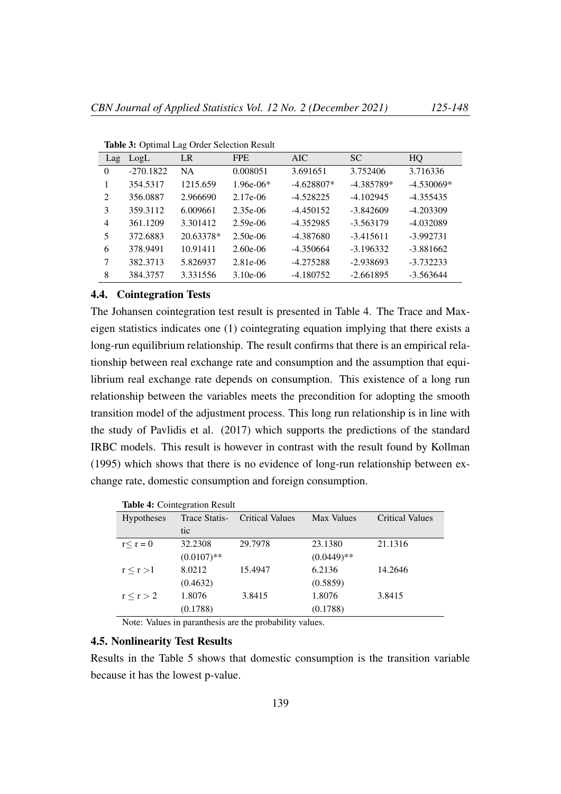| Lag            | LogL        | LR        | <b>FPE</b>  | AIC.         | <b>SC</b>    | HQ           |
|----------------|-------------|-----------|-------------|--------------|--------------|--------------|
| $\Omega$       | $-270.1822$ | <b>NA</b> | 0.008051    | 3.691651     | 3.752406     | 3.716336     |
|                | 354.5317    | 1215.659  | $1.96e-06*$ | $-4.628807*$ | $-4.385789*$ | $-4.530069*$ |
| 2              | 356.0887    | 2.966690  | 2.17e-06    | $-4.528225$  | $-4.102945$  | $-4.355435$  |
| 3              | 359.3112    | 6.009661  | $2.35e-06$  | $-4.450152$  | $-3.842609$  | $-4.203309$  |
| $\overline{4}$ | 361.1209    | 3.301412  | $2.59e-06$  | $-4.352985$  | $-3.563179$  | $-4.032089$  |
| 5              | 372.6883    | 20.63378* | $2.50e-06$  | $-4.387680$  | $-3.415611$  | $-3.992731$  |
| 6              | 378.9491    | 10.91411  | $2.60e-06$  | $-4.350664$  | $-3.196332$  | $-3.881662$  |
| 7              | 382.3713    | 5.826937  | 2.81e-06    | $-4.275288$  | $-2.938693$  | $-3.732233$  |
| 8              | 384.3757    | 3.331556  | $3.10e-06$  | $-4.180752$  | $-2.661895$  | $-3.563644$  |

Table 3: Optimal Lag Order Selection Result

# 4.4. Cointegration Tests

The Johansen cointegration test result is presented in Table 4. The Trace and Maxeigen statistics indicates one (1) cointegrating equation implying that there exists a long-run equilibrium relationship. The result confirms that there is an empirical relationship between real exchange rate and consumption and the assumption that equilibrium real exchange rate depends on consumption. This existence of a long run relationship between the variables meets the precondition for adopting the smooth transition model of the adjustment process. This long run relationship is in line with the study of Pavlidis et al. (2017) which supports the predictions of the standard IRBC models. This result is however in contrast with the result found by Kollman (1995) which shows that there is no evidence of long-run relationship between exchange rate, domestic consumption and foreign consumption.

|                   | <b>Table 4.</b> Connegration Result |                        |               |                        |
|-------------------|-------------------------------------|------------------------|---------------|------------------------|
| <b>Hypotheses</b> | Trace Statis-                       | <b>Critical Values</b> | Max Values    | <b>Critical Values</b> |
|                   | tic                                 |                        |               |                        |
| $r < r = 0$       | 32.2308                             | 29.7978                | 23.1380       | 21.1316                |
|                   | $(0.0107)$ **                       |                        | $(0.0449)$ ** |                        |
| r < r > 1         | 8.0212                              | 15.4947                | 6.2136        | 14.2646                |
|                   | (0.4632)                            |                        | (0.5859)      |                        |
| r < r > 2         | 1.8076                              | 3.8415                 | 1.8076        | 3.8415                 |
|                   | (0.1788)                            |                        | (0.1788)      |                        |

Table 4: Cointegration Result

Note: Values in paranthesis are the probability values.

# 4.5. Nonlinearity Test Results

Results in the Table 5 shows that domestic consumption is the transition variable because it has the lowest p-value.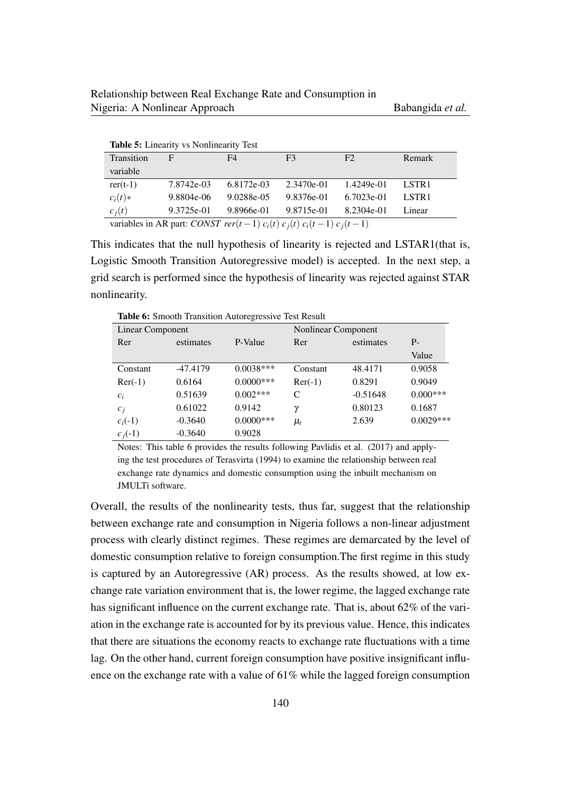| Table 5: Linearity vs Nonlinearity Test                                      |            |            |                |            |                   |  |
|------------------------------------------------------------------------------|------------|------------|----------------|------------|-------------------|--|
| Transition                                                                   | F          | F4         | F <sub>3</sub> | F2         | Remark            |  |
| variable                                                                     |            |            |                |            |                   |  |
| $rer(t-1)$                                                                   | 7.8742e-03 | 6.8172e-03 | 2.3470e-01     | 1.4249e-01 | LSTR <sub>1</sub> |  |
| $c_i(t)$ *                                                                   | 9.8804e-06 | 9.0288e-05 | 9.8376e-01     | 6.7023e-01 | LSTR <sub>1</sub> |  |
| $c_i(t)$                                                                     | 9.3725e-01 | 9.8966e-01 | 9.8715e-01     | 8.2304e-01 | Linear            |  |
| variables in AR part: CONST rer(t-1) $c_i(t)$ $c_i(t)$ $c_i(t-1)$ $c_i(t-1)$ |            |            |                |            |                   |  |

This indicates that the null hypothesis of linearity is rejected and LSTAR1(that is, Logistic Smooth Transition Autoregressive model) is accepted. In the next step, a grid search is performed since the hypothesis of linearity was rejected against STAR nonlinearity.

Table 6: Smooth Transition Autoregressive Test Result

| Linear Component |            |              | Nonlinear Component |            |             |
|------------------|------------|--------------|---------------------|------------|-------------|
| Rer              | estimates  | P-Value      | Rer                 | estimates  | $P -$       |
|                  |            |              |                     |            | Value       |
| Constant         | $-47.4179$ | $0.0038***$  | Constant            | 48.4171    | 0.9058      |
| $\text{Re}r(-1)$ | 0.6164     | $0.0000***$  | $\text{Re}r(-1)$    | 0.8291     | 0.9049      |
| $c_i$            | 0.51639    | $0.002***$   | C                   | $-0.51648$ | $0.000***$  |
| $c_i$            | 0.61022    | 0.9142       | $\gamma$            | 0.80123    | 0.1687      |
| $c_i(-1)$        | $-0.3640$  | $0.0000$ *** | $\mu_t$             | 2.639      | $0.0029***$ |
| $c_i(-1)$        | $-0.3640$  | 0.9028       |                     |            |             |

Notes: This table 6 provides the results following Pavlidis et al. (2017) and applying the test procedures of Terasvirta (1994) to examine the relationship between real exchange rate dynamics and domestic consumption using the inbuilt mechanism on JMULTi software.

Overall, the results of the nonlinearity tests, thus far, suggest that the relationship between exchange rate and consumption in Nigeria follows a non-linear adjustment process with clearly distinct regimes. These regimes are demarcated by the level of domestic consumption relative to foreign consumption.The first regime in this study is captured by an Autoregressive (AR) process. As the results showed, at low exchange rate variation environment that is, the lower regime, the lagged exchange rate has significant influence on the current exchange rate. That is, about 62% of the variation in the exchange rate is accounted for by its previous value. Hence, this indicates that there are situations the economy reacts to exchange rate fluctuations with a time lag. On the other hand, current foreign consumption have positive insignificant influence on the exchange rate with a value of 61% while the lagged foreign consumption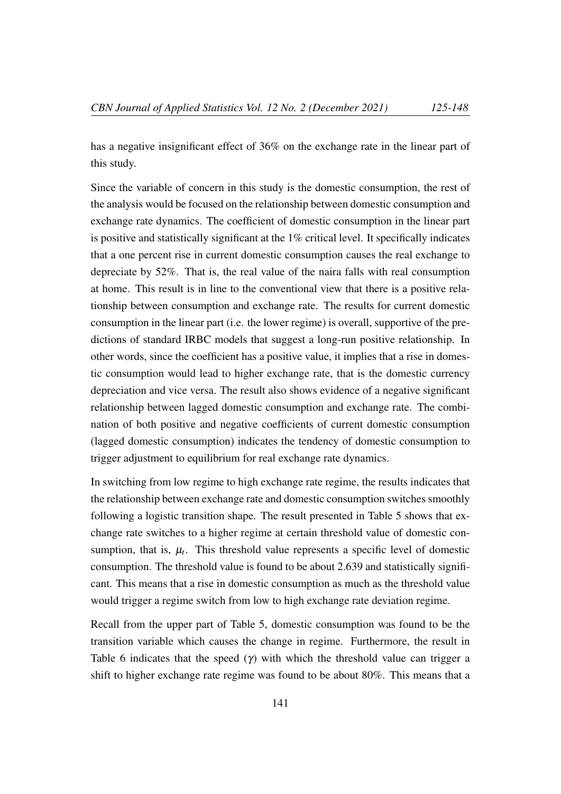has a negative insignificant effect of 36% on the exchange rate in the linear part of this study.

Since the variable of concern in this study is the domestic consumption, the rest of the analysis would be focused on the relationship between domestic consumption and exchange rate dynamics. The coefficient of domestic consumption in the linear part is positive and statistically significant at the 1% critical level. It specifically indicates that a one percent rise in current domestic consumption causes the real exchange to depreciate by 52%. That is, the real value of the naira falls with real consumption at home. This result is in line to the conventional view that there is a positive relationship between consumption and exchange rate. The results for current domestic consumption in the linear part (i.e. the lower regime) is overall, supportive of the predictions of standard IRBC models that suggest a long-run positive relationship. In other words, since the coefficient has a positive value, it implies that a rise in domestic consumption would lead to higher exchange rate, that is the domestic currency depreciation and vice versa. The result also shows evidence of a negative significant relationship between lagged domestic consumption and exchange rate. The combination of both positive and negative coefficients of current domestic consumption (lagged domestic consumption) indicates the tendency of domestic consumption to trigger adjustment to equilibrium for real exchange rate dynamics.

In switching from low regime to high exchange rate regime, the results indicates that the relationship between exchange rate and domestic consumption switches smoothly following a logistic transition shape. The result presented in Table 5 shows that exchange rate switches to a higher regime at certain threshold value of domestic consumption, that is,  $\mu_t$ . This threshold value represents a specific level of domestic consumption. The threshold value is found to be about 2.639 and statistically significant. This means that a rise in domestic consumption as much as the threshold value would trigger a regime switch from low to high exchange rate deviation regime.

Recall from the upper part of Table 5, domestic consumption was found to be the transition variable which causes the change in regime. Furthermore, the result in Table 6 indicates that the speed  $(\gamma)$  with which the threshold value can trigger a shift to higher exchange rate regime was found to be about 80%. This means that a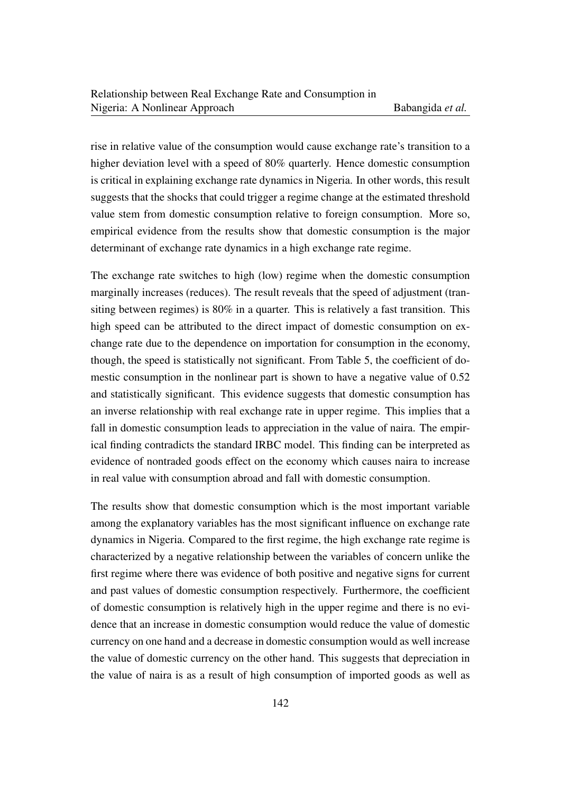rise in relative value of the consumption would cause exchange rate's transition to a higher deviation level with a speed of 80% quarterly. Hence domestic consumption is critical in explaining exchange rate dynamics in Nigeria. In other words, this result suggests that the shocks that could trigger a regime change at the estimated threshold value stem from domestic consumption relative to foreign consumption. More so, empirical evidence from the results show that domestic consumption is the major determinant of exchange rate dynamics in a high exchange rate regime.

The exchange rate switches to high (low) regime when the domestic consumption marginally increases (reduces). The result reveals that the speed of adjustment (transiting between regimes) is 80% in a quarter. This is relatively a fast transition. This high speed can be attributed to the direct impact of domestic consumption on exchange rate due to the dependence on importation for consumption in the economy, though, the speed is statistically not significant. From Table 5, the coefficient of domestic consumption in the nonlinear part is shown to have a negative value of 0.52 and statistically significant. This evidence suggests that domestic consumption has an inverse relationship with real exchange rate in upper regime. This implies that a fall in domestic consumption leads to appreciation in the value of naira. The empirical finding contradicts the standard IRBC model. This finding can be interpreted as evidence of nontraded goods effect on the economy which causes naira to increase in real value with consumption abroad and fall with domestic consumption.

The results show that domestic consumption which is the most important variable among the explanatory variables has the most significant influence on exchange rate dynamics in Nigeria. Compared to the first regime, the high exchange rate regime is characterized by a negative relationship between the variables of concern unlike the first regime where there was evidence of both positive and negative signs for current and past values of domestic consumption respectively. Furthermore, the coefficient of domestic consumption is relatively high in the upper regime and there is no evidence that an increase in domestic consumption would reduce the value of domestic currency on one hand and a decrease in domestic consumption would as well increase the value of domestic currency on the other hand. This suggests that depreciation in the value of naira is as a result of high consumption of imported goods as well as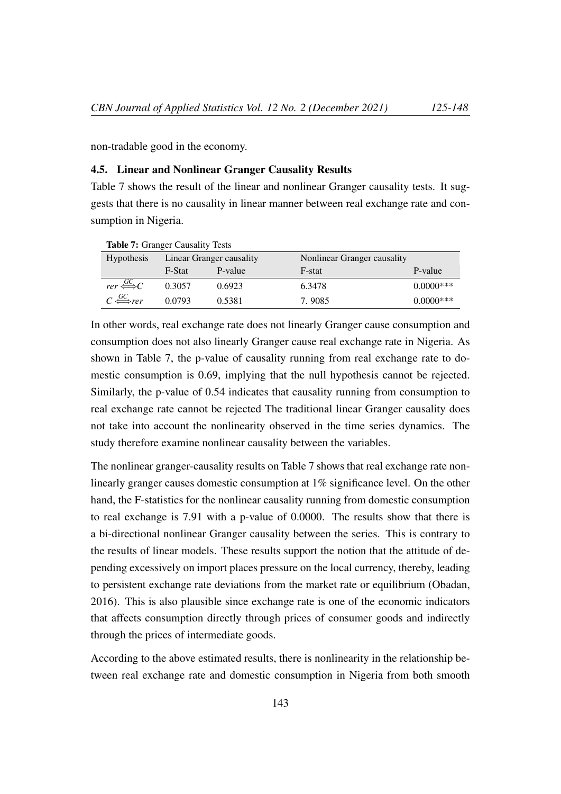non-tradable good in the economy.

# 4.5. Linear and Nonlinear Granger Causality Results

Table 7 shows the result of the linear and nonlinear Granger causality tests. It suggests that there is no causality in linear manner between real exchange rate and consumption in Nigeria.

| <b>Table 7: Granger Causality Tests</b>    |                          |         |                             |              |  |  |
|--------------------------------------------|--------------------------|---------|-----------------------------|--------------|--|--|
| <b>Hypothesis</b>                          | Linear Granger causality |         | Nonlinear Granger causality |              |  |  |
|                                            | F-Stat                   | P-value | F-stat                      | P-value      |  |  |
| $rer \stackrel{GC}{\Longleftrightarrow} C$ | 0.3057                   | 0.6923  | 6.3478                      | $0.0000$ *** |  |  |
| $C \stackrel{GC}{\Longleftrightarrow}$ rer | 0.0793                   | 0.5381  | 7.9085                      | $0.0000$ *** |  |  |

In other words, real exchange rate does not linearly Granger cause consumption and consumption does not also linearly Granger cause real exchange rate in Nigeria. As shown in Table 7, the p-value of causality running from real exchange rate to domestic consumption is 0.69, implying that the null hypothesis cannot be rejected. Similarly, the p-value of 0.54 indicates that causality running from consumption to real exchange rate cannot be rejected The traditional linear Granger causality does not take into account the nonlinearity observed in the time series dynamics. The study therefore examine nonlinear causality between the variables.

The nonlinear granger-causality results on Table 7 shows that real exchange rate nonlinearly granger causes domestic consumption at 1% significance level. On the other hand, the F-statistics for the nonlinear causality running from domestic consumption to real exchange is 7.91 with a p-value of 0.0000. The results show that there is a bi-directional nonlinear Granger causality between the series. This is contrary to the results of linear models. These results support the notion that the attitude of depending excessively on import places pressure on the local currency, thereby, leading to persistent exchange rate deviations from the market rate or equilibrium (Obadan, 2016). This is also plausible since exchange rate is one of the economic indicators that affects consumption directly through prices of consumer goods and indirectly through the prices of intermediate goods.

According to the above estimated results, there is nonlinearity in the relationship between real exchange rate and domestic consumption in Nigeria from both smooth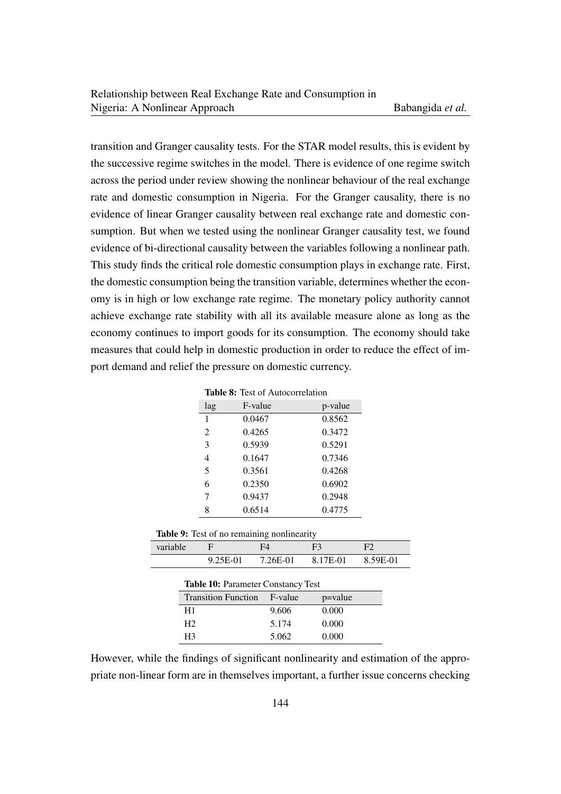transition and Granger causality tests. For the STAR model results, this is evident by the successive regime switches in the model. There is evidence of one regime switch across the period under review showing the nonlinear behaviour of the real exchange rate and domestic consumption in Nigeria. For the Granger causality, there is no evidence of linear Granger causality between real exchange rate and domestic consumption. But when we tested using the nonlinear Granger causality test, we found evidence of bi-directional causality between the variables following a nonlinear path. This study finds the critical role domestic consumption plays in exchange rate. First, the domestic consumption being the transition variable, determines whether the economy is in high or low exchange rate regime. The monetary policy authority cannot achieve exchange rate stability with all its available measure alone as long as the economy continues to import goods for its consumption. The economy should take measures that could help in domestic production in order to reduce the effect of import demand and relief the pressure on domestic currency.

| <b>Table 8:</b> Test of Autocorrelation |         |  |  |  |  |
|-----------------------------------------|---------|--|--|--|--|
| F-value                                 | p-value |  |  |  |  |
| 0.0467                                  | 0.8562  |  |  |  |  |
| 0.4265                                  | 0.3472  |  |  |  |  |
| 0.5939                                  | 0.5291  |  |  |  |  |
| 0.1647                                  | 0.7346  |  |  |  |  |
| 0.3561                                  | 0.4268  |  |  |  |  |
| 0.2350                                  | 0.6902  |  |  |  |  |
| 0.9437                                  | 0.2948  |  |  |  |  |
| 0.6514                                  | 0.4775  |  |  |  |  |
|                                         |         |  |  |  |  |

|  | Table 9: Test of no remaining nonlinearity |  |
|--|--------------------------------------------|--|
|  |                                            |  |

| variable |            |          | F <sup>2</sup> |          |
|----------|------------|----------|----------------|----------|
|          | $9.25E-01$ | 7.26E-01 | 8.17E-01       | 8.59E-01 |
|          |            |          |                |          |

| <b>Table 10: Parameter Constancy Test</b> |       |         |  |  |
|-------------------------------------------|-------|---------|--|--|
| Transition Function F-value               |       | p=value |  |  |
| H1                                        | 9.606 | 0.000   |  |  |
| H2                                        | 5.174 | 0.000   |  |  |
| H3                                        | 5.062 | 0.000   |  |  |

However, while the findings of significant nonlinearity and estimation of the appropriate non-linear form are in themselves important, a further issue concerns checking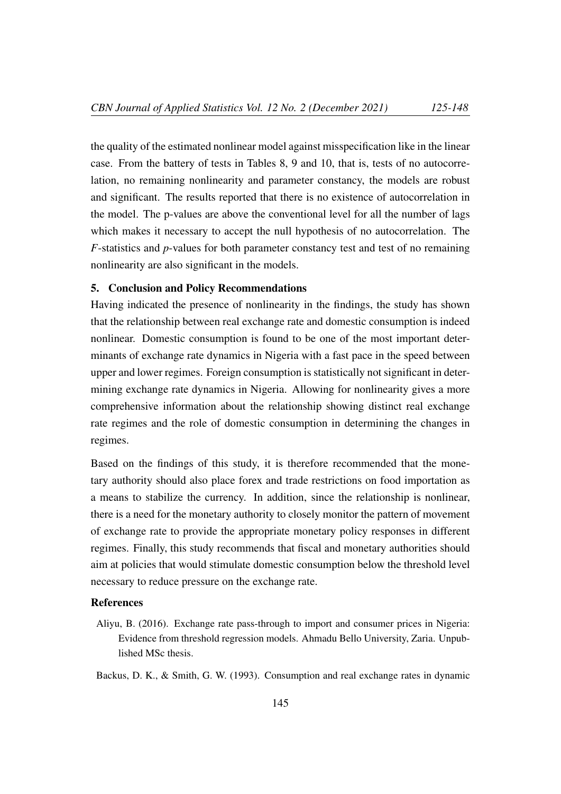the quality of the estimated nonlinear model against misspecification like in the linear case. From the battery of tests in Tables 8, 9 and 10, that is, tests of no autocorrelation, no remaining nonlinearity and parameter constancy, the models are robust and significant. The results reported that there is no existence of autocorrelation in the model. The p-values are above the conventional level for all the number of lags which makes it necessary to accept the null hypothesis of no autocorrelation. The *F*-statistics and *p*-values for both parameter constancy test and test of no remaining nonlinearity are also significant in the models.

#### 5. Conclusion and Policy Recommendations

Having indicated the presence of nonlinearity in the findings, the study has shown that the relationship between real exchange rate and domestic consumption is indeed nonlinear. Domestic consumption is found to be one of the most important determinants of exchange rate dynamics in Nigeria with a fast pace in the speed between upper and lower regimes. Foreign consumption is statistically not significant in determining exchange rate dynamics in Nigeria. Allowing for nonlinearity gives a more comprehensive information about the relationship showing distinct real exchange rate regimes and the role of domestic consumption in determining the changes in regimes.

Based on the findings of this study, it is therefore recommended that the monetary authority should also place forex and trade restrictions on food importation as a means to stabilize the currency. In addition, since the relationship is nonlinear, there is a need for the monetary authority to closely monitor the pattern of movement of exchange rate to provide the appropriate monetary policy responses in different regimes. Finally, this study recommends that fiscal and monetary authorities should aim at policies that would stimulate domestic consumption below the threshold level necessary to reduce pressure on the exchange rate.

# References

Aliyu, B. (2016). Exchange rate pass-through to import and consumer prices in Nigeria: Evidence from threshold regression models. Ahmadu Bello University, Zaria. Unpublished MSc thesis.

Backus, D. K., & Smith, G. W. (1993). Consumption and real exchange rates in dynamic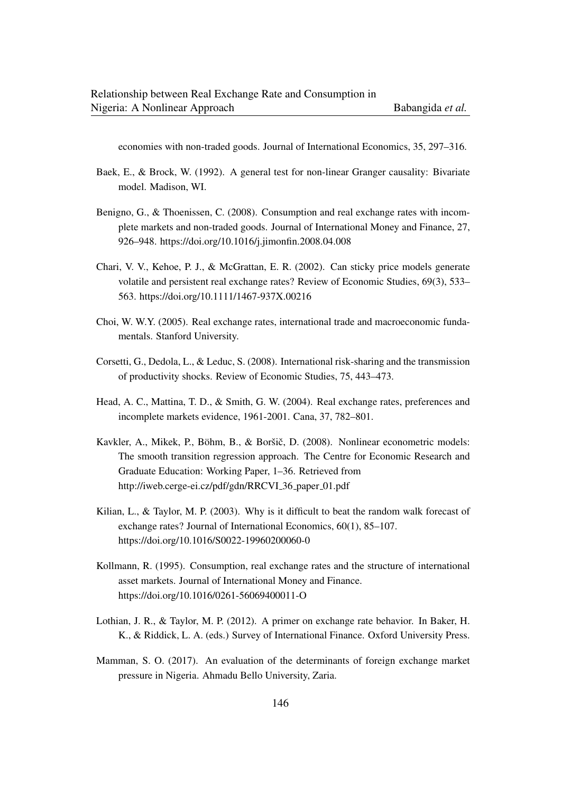economies with non-traded goods. Journal of International Economics, 35, 297–316.

- Baek, E., & Brock, W. (1992). A general test for non-linear Granger causality: Bivariate model. Madison, WI.
- Benigno, G., & Thoenissen, C. (2008). Consumption and real exchange rates with incomplete markets and non-traded goods. Journal of International Money and Finance, 27, 926–948. https://doi.org/10.1016/j.jimonfin.2008.04.008
- Chari, V. V., Kehoe, P. J., & McGrattan, E. R. (2002). Can sticky price models generate volatile and persistent real exchange rates? Review of Economic Studies, 69(3), 533– 563. https://doi.org/10.1111/1467-937X.00216
- Choi, W. W.Y. (2005). Real exchange rates, international trade and macroeconomic fundamentals. Stanford University.
- Corsetti, G., Dedola, L., & Leduc, S. (2008). International risk-sharing and the transmission of productivity shocks. Review of Economic Studies, 75, 443–473.
- Head, A. C., Mattina, T. D., & Smith, G. W. (2004). Real exchange rates, preferences and incomplete markets evidence, 1961-2001. Cana, 37, 782–801.
- Kavkler, A., Mikek, P., Böhm, B., & Boršič, D. (2008). Nonlinear econometric models: The smooth transition regression approach. The Centre for Economic Research and Graduate Education: Working Paper, 1–36. Retrieved from http://iweb.cerge-ei.cz/pdf/gdn/RRCVI\_36\_paper\_01.pdf
- Kilian, L., & Taylor, M. P. (2003). Why is it difficult to beat the random walk forecast of exchange rates? Journal of International Economics, 60(1), 85–107. https://doi.org/10.1016/S0022-19960200060-0
- Kollmann, R. (1995). Consumption, real exchange rates and the structure of international asset markets. Journal of International Money and Finance. https://doi.org/10.1016/0261-56069400011-O
- Lothian, J. R., & Taylor, M. P. (2012). A primer on exchange rate behavior. In Baker, H. K., & Riddick, L. A. (eds.) Survey of International Finance. Oxford University Press.
- Mamman, S. O. (2017). An evaluation of the determinants of foreign exchange market pressure in Nigeria. Ahmadu Bello University, Zaria.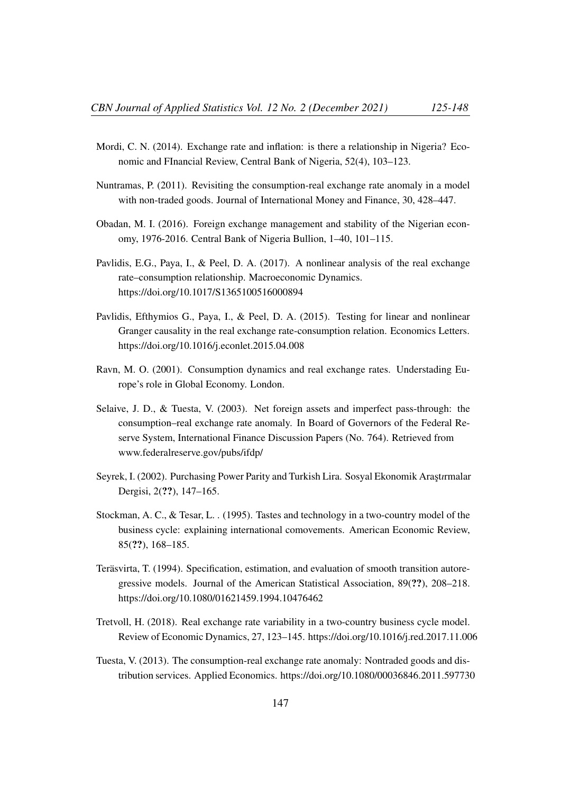- Mordi, C. N. (2014). Exchange rate and inflation: is there a relationship in Nigeria? Economic and FInancial Review, Central Bank of Nigeria, 52(4), 103–123.
- Nuntramas, P. (2011). Revisiting the consumption-real exchange rate anomaly in a model with non-traded goods. Journal of International Money and Finance, 30, 428–447.
- Obadan, M. I. (2016). Foreign exchange management and stability of the Nigerian economy, 1976-2016. Central Bank of Nigeria Bullion, 1–40, 101–115.
- Pavlidis, E.G., Paya, I., & Peel, D. A. (2017). A nonlinear analysis of the real exchange rate–consumption relationship. Macroeconomic Dynamics. https://doi.org/10.1017/S1365100516000894
- Pavlidis, Efthymios G., Paya, I., & Peel, D. A. (2015). Testing for linear and nonlinear Granger causality in the real exchange rate-consumption relation. Economics Letters. https://doi.org/10.1016/j.econlet.2015.04.008
- Ravn, M. O. (2001). Consumption dynamics and real exchange rates. Understading Europe's role in Global Economy. London.
- Selaive, J. D., & Tuesta, V. (2003). Net foreign assets and imperfect pass-through: the consumption–real exchange rate anomaly. In Board of Governors of the Federal Reserve System, International Finance Discussion Papers (No. 764). Retrieved from www.federalreserve.gov/pubs/ifdp/
- Seyrek, I. (2002). Purchasing Power Parity and Turkish Lira. Sosyal Ekonomik Araştırmalar Dergisi, 2(??), 147–165.
- Stockman, A. C., & Tesar, L. . (1995). Tastes and technology in a two-country model of the business cycle: explaining international comovements. American Economic Review, 85(??), 168–185.
- Teräsvirta, T. (1994). Specification, estimation, and evaluation of smooth transition autoregressive models. Journal of the American Statistical Association, 89(??), 208–218. https://doi.org/10.1080/01621459.1994.10476462
- Tretvoll, H. (2018). Real exchange rate variability in a two-country business cycle model. Review of Economic Dynamics, 27, 123–145. https://doi.org/10.1016/j.red.2017.11.006
- Tuesta, V. (2013). The consumption-real exchange rate anomaly: Nontraded goods and distribution services. Applied Economics. https://doi.org/10.1080/00036846.2011.597730